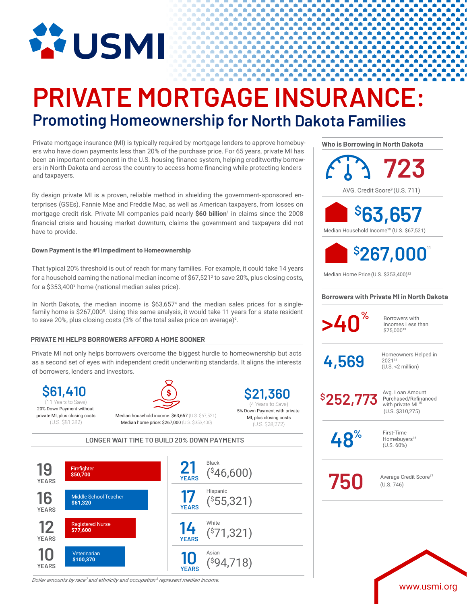

# **PRIVATE MORTGAGE INSURANCE: Promoting Homeownership for North Dakota Families**

Private mortgage insurance (MI) is typically required by mortgage lenders to approve homebuyers who have down payments less than 20% of the purchase price. For 65 years, private MI has been an important component in the U.S. housing finance system, helping creditworthy borrowers in North Dakota and across the country to access home financing while protecting lenders and taxpayers.

By design private MI is a proven, reliable method in shielding the government-sponsored enterprises (GSEs), Fannie Mae and Freddie Mac, as well as American taxpayers, from losses on mortgage credit risk. Private MI companies paid nearly **\$60 billion**<sup>1</sup> in claims since the 2008 financial crisis and housing market downturn, claims the government and taxpayers did not have to provide.

### **Down Payment is the #1 Impediment to Homeownership**

That typical 20% threshold is out of reach for many families. For example, it could take 14 years for a household earning the national median income of  $$67,521<sup>2</sup>$  to save 20%, plus closing costs, for a \$353,4003 home (national median sales price).

In North Dakota, the median income is \$63,6574 and the median sales prices for a singlefamily home is \$267,000<sup>5</sup>. Using this same analysis, it would take 11 years for a state resident to save 20%, plus closing costs (3% of the total sales price on average) $^6$ .

## **PRIVATE MI HELPS BORROWERS AFFORD A HOME SOONER**

Private MI not only helps borrowers overcome the biggest hurdle to homeownership but acts as a second set of eyes with independent credit underwriting standards. It aligns the interests of borrowers, lenders and investors.

**\$61,410** 20% Down Payment without private MI, plus closing costs (U.S. \$81,282)

Median household income: \$63,657 (U.S. \$67,521) (11 Years to Save) (4 Years to Save)

**\$21,360** 5% Down Payment with private MI, plus closing costs

Median home price: \$267,000 (U.S. \$353,400) (U.S. \$28,272)

**LONGER WAIT TIME TO BUILD 20% DOWN PAYMENTS**



*Dollar amounts by race<sup>7</sup> and ethnicity and occupation <sup>8</sup> represent median income.*

**Who is Borrowing in North Dakota**

**>40<sup>%</sup>** Borrowers with Incomes Less than \$75,00013 **Borrowers with Private MI in North Dakota** AVG. Credit Score<sup>9</sup> (U.S. 711) First-Time Homebuyers<sup>16</sup> (U.S. 60%)  $4,569$  Homeowners Helped in 202114 (U.S. <2 million) **723** Median Household Income10 (U.S. \$67,521) Median Home Price (U.S. \$353,400)<sup>12</sup> **\$ 63,657 \$ 267,000** 11 Avg. Loan Amount<br>Purchased/Refinanced with private MI (U.S. \$310,275) **\$252,773 750** Average Credit Score<sup>17</sup> (U.S. 746) **48%**

www.usmi.org